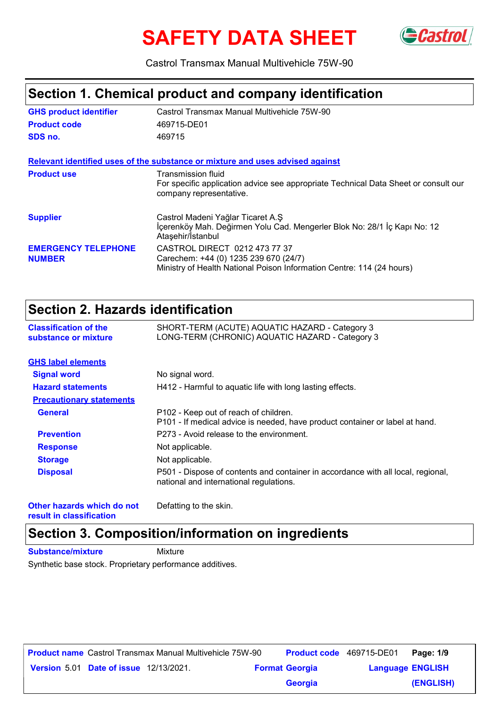# **SAFETY DATA SHEET** GCastrol



Castrol Transmax Manual Multivehicle 75W-90

#### **Section 1. Chemical product and company identification**

| <b>GHS product identifier</b>               | Castrol Transmax Manual Multivehicle 75W-90                                                                                                     |
|---------------------------------------------|-------------------------------------------------------------------------------------------------------------------------------------------------|
| <b>Product code</b>                         | 469715-DE01                                                                                                                                     |
| SDS no.                                     | 469715                                                                                                                                          |
|                                             | Relevant identified uses of the substance or mixture and uses advised against                                                                   |
| <b>Product use</b>                          | Transmission fluid<br>For specific application advice see appropriate Technical Data Sheet or consult our<br>company representative.            |
| <b>Supplier</b>                             | Castrol Madeni Yağlar Ticaret A.Ş<br>İçerenköy Mah. Değirmen Yolu Cad. Mengerler Blok No: 28/1 İç Kapı No: 12<br>Ataşehir/İstanbul              |
| <b>EMERGENCY TELEPHONE</b><br><b>NUMBER</b> | CASTROL DIRECT 0212 473 77 37<br>Carechem: +44 (0) 1235 239 670 (24/7)<br>Ministry of Health National Poison Information Centre: 114 (24 hours) |

### **Section 2. Hazards identification**

| <b>Classification of the</b><br>substance or mixture | SHORT-TERM (ACUTE) AQUATIC HAZARD - Category 3<br>LONG-TERM (CHRONIC) AQUATIC HAZARD - Category 3                           |
|------------------------------------------------------|-----------------------------------------------------------------------------------------------------------------------------|
| <b>GHS label elements</b>                            |                                                                                                                             |
| <b>Signal word</b>                                   | No signal word.                                                                                                             |
| <b>Hazard statements</b>                             | H412 - Harmful to aquatic life with long lasting effects.                                                                   |
| <b>Precautionary statements</b>                      |                                                                                                                             |
| <b>General</b>                                       | P102 - Keep out of reach of children.<br>P101 - If medical advice is needed, have product container or label at hand.       |
| <b>Prevention</b>                                    | P273 - Avoid release to the environment.                                                                                    |
| <b>Response</b>                                      | Not applicable.                                                                                                             |
| <b>Storage</b>                                       | Not applicable.                                                                                                             |
| <b>Disposal</b>                                      | P501 - Dispose of contents and container in accordance with all local, regional,<br>national and international regulations. |
|                                                      |                                                                                                                             |

**Other hazards which do not result in classification**

Defatting to the skin.

## **Section 3. Composition/information on ingredients**

**Substance/mixture** Mixture

Synthetic base stock. Proprietary performance additives.

|                                               | <b>Product name</b> Castrol Transmax Manual Multivehicle 75W-90 | <b>Product code</b> 469715-DE01 |                         | Page: 1/9 |
|-----------------------------------------------|-----------------------------------------------------------------|---------------------------------|-------------------------|-----------|
| <b>Version 5.01 Date of issue 12/13/2021.</b> |                                                                 | <b>Format Georgia</b>           | <b>Language ENGLISH</b> |           |
|                                               |                                                                 | <b>Georgia</b>                  |                         | (ENGLISH) |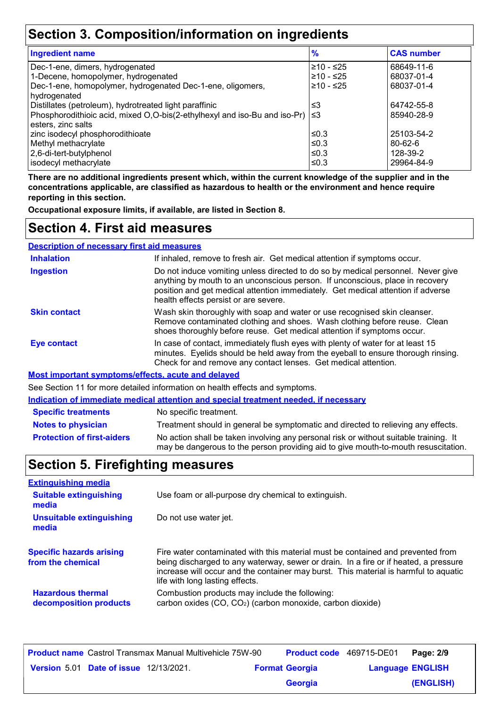### **Section 3. Composition/information on ingredients**

| <b>Ingredient name</b>                                                    | $\frac{9}{6}$ | <b>CAS number</b> |
|---------------------------------------------------------------------------|---------------|-------------------|
| Dec-1-ene, dimers, hydrogenated                                           | ≥10 - ≤25     | 68649-11-6        |
| 1-Decene, homopolymer, hydrogenated                                       | ≥10 - ≤25     | 68037-01-4        |
| Dec-1-ene, homopolymer, hydrogenated Dec-1-ene, oligomers,                | $≥10 - ≤25$   | 68037-01-4        |
| hydrogenated                                                              |               |                   |
| Distillates (petroleum), hydrotreated light paraffinic                    | ≤3            | 64742-55-8        |
| Phosphorodithioic acid, mixed O,O-bis(2-ethylhexyl and iso-Bu and iso-Pr) | ՝≤3           | 85940-28-9        |
| esters, zinc salts                                                        |               |                   |
| zinc isodecyl phosphorodithioate                                          | ≤0.3          | 25103-54-2        |
| Methyl methacrylate                                                       | ≤0.3          | $80 - 62 - 6$     |
| 2,6-di-tert-butylphenol                                                   | ≤0.3          | 128-39-2          |
| isodecyl methacrylate                                                     | ≤0.3          | 29964-84-9        |

**There are no additional ingredients present which, within the current knowledge of the supplier and in the concentrations applicable, are classified as hazardous to health or the environment and hence require reporting in this section.**

**Occupational exposure limits, if available, are listed in Section 8.**

#### **Section 4. First aid measures**

| <b>Description of necessary first aid measures</b> |                                                                                                                                                                                                                                                                                                |
|----------------------------------------------------|------------------------------------------------------------------------------------------------------------------------------------------------------------------------------------------------------------------------------------------------------------------------------------------------|
| <b>Inhalation</b>                                  | If inhaled, remove to fresh air. Get medical attention if symptoms occur.                                                                                                                                                                                                                      |
| <b>Ingestion</b>                                   | Do not induce vomiting unless directed to do so by medical personnel. Never give<br>anything by mouth to an unconscious person. If unconscious, place in recovery<br>position and get medical attention immediately. Get medical attention if adverse<br>health effects persist or are severe. |
| <b>Skin contact</b>                                | Wash skin thoroughly with soap and water or use recognised skin cleanser.<br>Remove contaminated clothing and shoes. Wash clothing before reuse. Clean<br>shoes thoroughly before reuse. Get medical attention if symptoms occur.                                                              |
| <b>Eye contact</b>                                 | In case of contact, immediately flush eyes with plenty of water for at least 15<br>minutes. Eyelids should be held away from the eyeball to ensure thorough rinsing.<br>Check for and remove any contact lenses. Get medical attention.                                                        |
|                                                    | Most important symptoms/offects, acute and delayed                                                                                                                                                                                                                                             |

<u>Important symptoms/effe</u>

See Section 11 for more detailed information on health effects and symptoms.

**Indication of immediate medical attention and special treatment needed, if necessary**

| <b>Specific treatments</b>        | No specific treatment.                                                                                                                                                      |
|-----------------------------------|-----------------------------------------------------------------------------------------------------------------------------------------------------------------------------|
| Notes to physician                | Treatment should in general be symptomatic and directed to relieving any effects.                                                                                           |
| <b>Protection of first-aiders</b> | No action shall be taken involving any personal risk or without suitable training. It<br>may be dangerous to the person providing aid to give mouth-to-mouth resuscitation. |

### **Section 5. Firefighting measures**

| <b>Extinguishing media</b>                           |                                                                                                                                                                                                                                                                                                    |
|------------------------------------------------------|----------------------------------------------------------------------------------------------------------------------------------------------------------------------------------------------------------------------------------------------------------------------------------------------------|
| <b>Suitable extinguishing</b><br>media               | Use foam or all-purpose dry chemical to extinguish.                                                                                                                                                                                                                                                |
| <b>Unsuitable extinguishing</b><br>media             | Do not use water jet.                                                                                                                                                                                                                                                                              |
| <b>Specific hazards arising</b><br>from the chemical | Fire water contaminated with this material must be contained and prevented from<br>being discharged to any waterway, sewer or drain. In a fire or if heated, a pressure<br>increase will occur and the container may burst. This material is harmful to aquatic<br>life with long lasting effects. |
| <b>Hazardous thermal</b><br>decomposition products   | Combustion products may include the following:<br>carbon oxides (CO, CO <sub>2</sub> ) (carbon monoxide, carbon dioxide)                                                                                                                                                                           |

|  |                                               | <b>Product name</b> Castrol Transmax Manual Multivehicle 75W-90 | <b>Product code</b> 469715-DE01 |                         | Page: 2/9 |
|--|-----------------------------------------------|-----------------------------------------------------------------|---------------------------------|-------------------------|-----------|
|  | <b>Version 5.01 Date of issue 12/13/2021.</b> |                                                                 | <b>Format Georgia</b>           | <b>Language ENGLISH</b> |           |
|  |                                               |                                                                 | <b>Georgia</b>                  |                         | (ENGLISH) |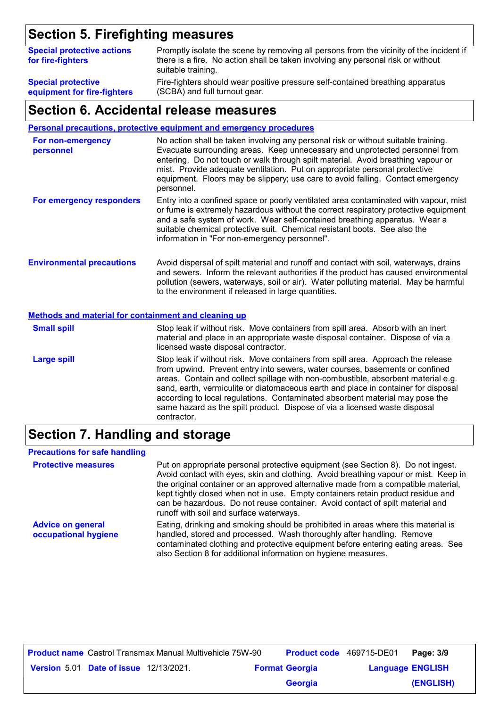#### **Section 5. Firefighting measures**

| <b>Special protective actions</b><br>for fire-fighters | Promptly isolate the scene by removing all persons from the vicinity of the incident if<br>there is a fire. No action shall be taken involving any personal risk or without<br>suitable training. |
|--------------------------------------------------------|---------------------------------------------------------------------------------------------------------------------------------------------------------------------------------------------------|
| <b>Special protective</b>                              | Fire-fighters should wear positive pressure self-contained breathing apparatus                                                                                                                    |
| equipment for fire-fighters                            | (SCBA) and full turnout gear.                                                                                                                                                                     |

#### **Section 6. Accidental release measures**

**Personal precautions, protective equipment and emergency procedures**

| For non-emergency<br>personnel                       | No action shall be taken involving any personal risk or without suitable training.<br>Evacuate surrounding areas. Keep unnecessary and unprotected personnel from<br>entering. Do not touch or walk through spilt material. Avoid breathing vapour or<br>mist. Provide adequate ventilation. Put on appropriate personal protective<br>equipment. Floors may be slippery; use care to avoid falling. Contact emergency<br>personnel. |
|------------------------------------------------------|--------------------------------------------------------------------------------------------------------------------------------------------------------------------------------------------------------------------------------------------------------------------------------------------------------------------------------------------------------------------------------------------------------------------------------------|
| For emergency responders                             | Entry into a confined space or poorly ventilated area contaminated with vapour, mist<br>or fume is extremely hazardous without the correct respiratory protective equipment<br>and a safe system of work. Wear self-contained breathing apparatus. Wear a<br>suitable chemical protective suit. Chemical resistant boots. See also the<br>information in "For non-emergency personnel".                                              |
| <b>Environmental precautions</b>                     | Avoid dispersal of spilt material and runoff and contact with soil, waterways, drains<br>and sewers. Inform the relevant authorities if the product has caused environmental<br>pollution (sewers, waterways, soil or air). Water polluting material. May be harmful<br>to the environment if released in large quantities.                                                                                                          |
| Methods and material for containment and cleaning up |                                                                                                                                                                                                                                                                                                                                                                                                                                      |
| <b>Small spill</b>                                   | Stop leak if without risk. Move containers from spill area. Absorb with an inert<br>material and place in an appropriate waste disposal container. Dispose of via a<br>licensed waste disposal contractor.                                                                                                                                                                                                                           |
| <b>Large spill</b>                                   | Stop leak if without risk. Move containers from spill area. Approach the release<br>from upwind. Prevent entry into sewers, water courses, basements or confined<br>areas. Contain and collect spillage with non-combustible, absorbent material e.g.<br>sand, earth, vermiculite or diatomaceous earth and place in container for disposal<br>according to local regulations. Contaminated absorbent material may pose the          |

#### **Section 7. Handling and storage**

contractor.

#### **Precautions for safe handling**

**Protective measures** Put on appropriate personal protective equipment (see Section 8). Do not ingest. Avoid contact with eyes, skin and clothing. Avoid breathing vapour or mist. Keep in the original container or an approved alternative made from a compatible material, kept tightly closed when not in use. Empty containers retain product residue and can be hazardous. Do not reuse container. Avoid contact of spilt material and runoff with soil and surface waterways. **Advice on general occupational hygiene** Eating, drinking and smoking should be prohibited in areas where this material is handled, stored and processed. Wash thoroughly after handling. Remove contaminated clothing and protective equipment before entering eating areas. See also Section 8 for additional information on hygiene measures.

same hazard as the spilt product. Dispose of via a licensed waste disposal

|                                               | <b>Product name</b> Castrol Transmax Manual Multivehicle 75W-90 | Product code 469715-DE01 |                         | Page: 3/9 |
|-----------------------------------------------|-----------------------------------------------------------------|--------------------------|-------------------------|-----------|
| <b>Version 5.01 Date of issue 12/13/2021.</b> |                                                                 | <b>Format Georgia</b>    | <b>Language ENGLISH</b> |           |
|                                               |                                                                 | <b>Georgia</b>           |                         | (ENGLISH) |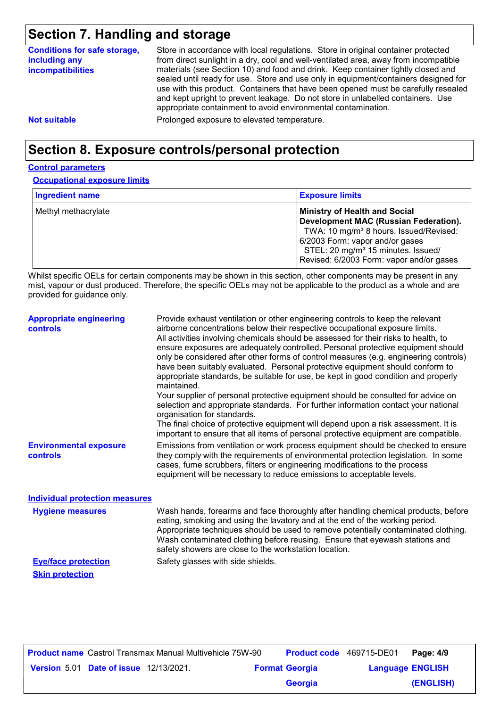### **Section 7. Handling and storage**

| <b>Conditions for safe storage,</b><br>including any<br><i>incompatibilities</i> | Store in accordance with local regulations. Store in original container protected<br>from direct sunlight in a dry, cool and well-ventilated area, away from incompatible<br>materials (see Section 10) and food and drink. Keep container tightly closed and<br>sealed until ready for use. Store and use only in equipment/containers designed for<br>use with this product. Containers that have been opened must be carefully resealed<br>and kept upright to prevent leakage. Do not store in unlabelled containers. Use<br>appropriate containment to avoid environmental contamination. |
|----------------------------------------------------------------------------------|------------------------------------------------------------------------------------------------------------------------------------------------------------------------------------------------------------------------------------------------------------------------------------------------------------------------------------------------------------------------------------------------------------------------------------------------------------------------------------------------------------------------------------------------------------------------------------------------|
| <b>Not suitable</b>                                                              | Prolonged exposure to elevated temperature.                                                                                                                                                                                                                                                                                                                                                                                                                                                                                                                                                    |

### **Section 8. Exposure controls/personal protection**

#### **Control parameters**

**Occupational exposure limits**

| <b>Ingredient name</b> | <b>Exposure limits</b>                                                                                                                                                                                                                                                      |
|------------------------|-----------------------------------------------------------------------------------------------------------------------------------------------------------------------------------------------------------------------------------------------------------------------------|
| Methyl methacrylate    | <b>Ministry of Health and Social</b><br><b>Development MAC (Russian Federation).</b><br>TWA: 10 mg/m <sup>3</sup> 8 hours. Issued/Revised:<br>6/2003 Form: vapor and/or gases<br>STEL: 20 mg/m <sup>3</sup> 15 minutes. Issued/<br>Revised: 6/2003 Form: vapor and/or gases |

Whilst specific OELs for certain components may be shown in this section, other components may be present in any mist, vapour or dust produced. Therefore, the specific OELs may not be applicable to the product as a whole and are provided for guidance only.

| <b>Appropriate engineering</b><br><b>controls</b> | Provide exhaust ventilation or other engineering controls to keep the relevant<br>airborne concentrations below their respective occupational exposure limits.<br>All activities involving chemicals should be assessed for their risks to health, to<br>ensure exposures are adequately controlled. Personal protective equipment should<br>only be considered after other forms of control measures (e.g. engineering controls)<br>have been suitably evaluated. Personal protective equipment should conform to<br>appropriate standards, be suitable for use, be kept in good condition and properly<br>maintained.<br>Your supplier of personal protective equipment should be consulted for advice on<br>selection and appropriate standards. For further information contact your national<br>organisation for standards.<br>The final choice of protective equipment will depend upon a risk assessment. It is<br>important to ensure that all items of personal protective equipment are compatible. |
|---------------------------------------------------|---------------------------------------------------------------------------------------------------------------------------------------------------------------------------------------------------------------------------------------------------------------------------------------------------------------------------------------------------------------------------------------------------------------------------------------------------------------------------------------------------------------------------------------------------------------------------------------------------------------------------------------------------------------------------------------------------------------------------------------------------------------------------------------------------------------------------------------------------------------------------------------------------------------------------------------------------------------------------------------------------------------|
| <b>Environmental exposure</b><br><b>controls</b>  | Emissions from ventilation or work process equipment should be checked to ensure<br>they comply with the requirements of environmental protection legislation. In some<br>cases, fume scrubbers, filters or engineering modifications to the process<br>equipment will be necessary to reduce emissions to acceptable levels.                                                                                                                                                                                                                                                                                                                                                                                                                                                                                                                                                                                                                                                                                 |
| <b>Individual protection measures</b>             |                                                                                                                                                                                                                                                                                                                                                                                                                                                                                                                                                                                                                                                                                                                                                                                                                                                                                                                                                                                                               |
| <b>Hygiene measures</b>                           | Wash hands, forearms and face thoroughly after handling chemical products, before<br>eating, smoking and using the lavatory and at the end of the working period.<br>Appropriate techniques should be used to remove potentially contaminated clothing.<br>Wash contaminated clothing before reusing. Ensure that eyewash stations and<br>safety showers are close to the workstation location.                                                                                                                                                                                                                                                                                                                                                                                                                                                                                                                                                                                                               |

**Eye/face protection** Safety glasses with side shields. **Skin protection**

|  |                                               | <b>Product name</b> Castrol Transmax Manual Multivehicle 75W-90 | <b>Product code</b> 469715-DE01 |                         | Page: 4/9 |
|--|-----------------------------------------------|-----------------------------------------------------------------|---------------------------------|-------------------------|-----------|
|  | <b>Version 5.01 Date of issue 12/13/2021.</b> |                                                                 | <b>Format Georgia</b>           | <b>Language ENGLISH</b> |           |
|  |                                               |                                                                 | <b>Georgia</b>                  |                         | (ENGLISH) |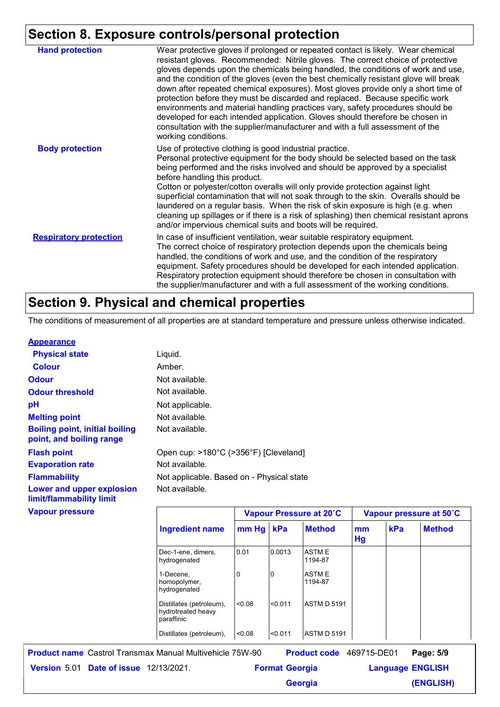#### **Section 8. Exposure controls/personal protection**

|                               | -------- <u>--------</u>                                                                                                                                                                                                                                                                                                                                                                                                                                                                                                                                                                                                                                                                                                                                                                        |
|-------------------------------|-------------------------------------------------------------------------------------------------------------------------------------------------------------------------------------------------------------------------------------------------------------------------------------------------------------------------------------------------------------------------------------------------------------------------------------------------------------------------------------------------------------------------------------------------------------------------------------------------------------------------------------------------------------------------------------------------------------------------------------------------------------------------------------------------|
| <b>Hand protection</b>        | Wear protective gloves if prolonged or repeated contact is likely. Wear chemical<br>resistant gloves. Recommended: Nitrile gloves. The correct choice of protective<br>gloves depends upon the chemicals being handled, the conditions of work and use,<br>and the condition of the gloves (even the best chemically resistant glove will break<br>down after repeated chemical exposures). Most gloves provide only a short time of<br>protection before they must be discarded and replaced. Because specific work<br>environments and material handling practices vary, safety procedures should be<br>developed for each intended application. Gloves should therefore be chosen in<br>consultation with the supplier/manufacturer and with a full assessment of the<br>working conditions. |
| <b>Body protection</b>        | Use of protective clothing is good industrial practice.<br>Personal protective equipment for the body should be selected based on the task<br>being performed and the risks involved and should be approved by a specialist<br>before handling this product.<br>Cotton or polyester/cotton overalls will only provide protection against light<br>superficial contamination that will not soak through to the skin. Overalls should be<br>laundered on a regular basis. When the risk of skin exposure is high (e.g. when<br>cleaning up spillages or if there is a risk of splashing) then chemical resistant aprons<br>and/or impervious chemical suits and boots will be required.                                                                                                           |
| <b>Respiratory protection</b> | In case of insufficient ventilation, wear suitable respiratory equipment.<br>The correct choice of respiratory protection depends upon the chemicals being<br>handled, the conditions of work and use, and the condition of the respiratory<br>equipment. Safety procedures should be developed for each intended application.<br>Respiratory protection equipment should therefore be chosen in consultation with<br>the supplier/manufacturer and with a full assessment of the working conditions.                                                                                                                                                                                                                                                                                           |

#### **Section 9. Physical and chemical properties**

The conditions of measurement of all properties are at standard temperature and pressure unless otherwise indicated.

#### **Appearance**

| <b>Physical state</b>                                             | Liquid.                                   |       |        |                         |              |  |
|-------------------------------------------------------------------|-------------------------------------------|-------|--------|-------------------------|--------------|--|
| <b>Colour</b>                                                     | Amber.                                    |       |        |                         |              |  |
| <b>Odour</b>                                                      | Not available.                            |       |        |                         |              |  |
| <b>Odour threshold</b>                                            | Not available.                            |       |        |                         |              |  |
| рH                                                                | Not applicable.                           |       |        |                         |              |  |
| <b>Melting point</b>                                              | Not available.                            |       |        |                         |              |  |
| <b>Boiling point, initial boiling</b><br>point, and boiling range | Not available.                            |       |        |                         |              |  |
| <b>Flash point</b>                                                | Open cup: >180°C (>356°F) [Cleveland]     |       |        |                         |              |  |
| <b>Evaporation rate</b>                                           | Not available.                            |       |        |                         |              |  |
| <b>Flammability</b>                                               | Not applicable. Based on - Physical state |       |        |                         |              |  |
| Lower and upper explosion<br>limit/flammability limit             | Not available.                            |       |        |                         |              |  |
| <b>Vapour pressure</b>                                            |                                           |       |        | Vapour Pressure at 20°C | <b>Vapou</b> |  |
|                                                                   | <b>Ingredient name</b>                    | mm Hg | kPa    | <b>Method</b>           | mm<br>Hg     |  |
|                                                                   | Dec-1-ene, dimers,<br>hydrogenated        | 0.01  | 0.0013 | <b>ASTME</b><br>1194-87 |              |  |

1-Decene, homopolymer, hydrogenated

hydrotreated heavy

Distillates (petroleum), <0.08

paraffinic Distillates (petroleum),  $\vert$ <0.08  $\vert$ <0.011  $\vert$ ASTM D 5191 **Date of issue** 12/13/2021. **Version** 5.01 **Format Georgia Language Product name** Castrol Transmax Manual Multivehicle 75W-90 **Product code** 469715-DE01 **Page: 5/9** | **Language ENGLISH** Product code 469715-DE01 Page: 5/9

0 **ASTME** 

1194-87

<0.08 <0.011 ASTM D 5191

**Georgia**

**Vapour Pressure at 20˚C Vapour pressure at 50˚C**

**kPa Method**

**(ENGLISH)**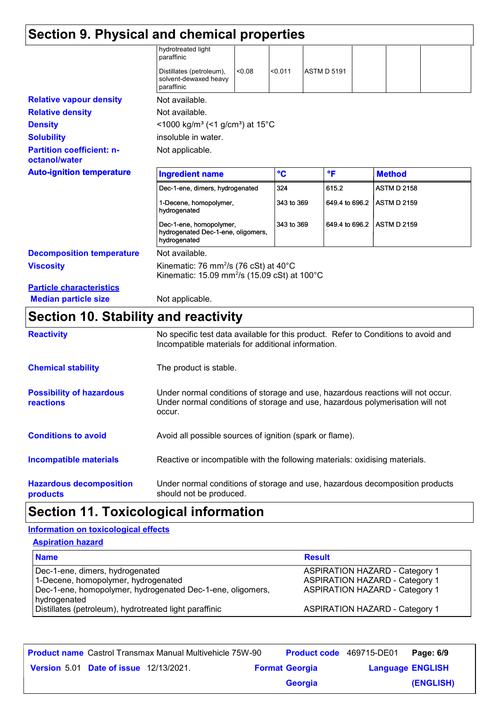| Section 9. Physical and chemical properties       |                                                                                                                                     |        |              |                    |                |  |                    |  |
|---------------------------------------------------|-------------------------------------------------------------------------------------------------------------------------------------|--------|--------------|--------------------|----------------|--|--------------------|--|
|                                                   | hydrotreated light<br>paraffinic                                                                                                    |        |              |                    |                |  |                    |  |
|                                                   | Distillates (petroleum),<br>solvent-dewaxed heavy<br>paraffinic                                                                     | < 0.08 | < 0.011      | <b>ASTM D 5191</b> |                |  |                    |  |
| <b>Relative vapour density</b>                    | Not available.                                                                                                                      |        |              |                    |                |  |                    |  |
| <b>Relative density</b>                           | Not available.                                                                                                                      |        |              |                    |                |  |                    |  |
| <b>Density</b>                                    | <1000 kg/m <sup>3</sup> (<1 g/cm <sup>3</sup> ) at 15°C                                                                             |        |              |                    |                |  |                    |  |
| <b>Solubility</b>                                 | insoluble in water.                                                                                                                 |        |              |                    |                |  |                    |  |
| <b>Partition coefficient: n-</b><br>octanol/water | Not applicable.                                                                                                                     |        |              |                    |                |  |                    |  |
| <b>Auto-ignition temperature</b>                  | <b>Ingredient name</b>                                                                                                              |        | $\mathbf{C}$ | $\mathsf{P}$       |                |  | <b>Method</b>      |  |
|                                                   | Dec-1-ene, dimers, hydrogenated                                                                                                     |        | 324          |                    | 615.2          |  | <b>ASTM D 2158</b> |  |
|                                                   | 1-Decene, homopolymer,<br>hydrogenated                                                                                              |        | 343 to 369   |                    | 649.4 to 696.2 |  | <b>ASTM D 2159</b> |  |
|                                                   | Dec-1-ene, homopolymer,<br>hydrogenated Dec-1-ene, oligomers,<br>hydrogenated                                                       |        | 343 to 369   |                    | 649.4 to 696.2 |  | <b>ASTM D 2159</b> |  |
| <b>Decomposition temperature</b>                  | Not available.                                                                                                                      |        |              |                    |                |  |                    |  |
| <b>Viscosity</b>                                  | Kinematic: 76 mm <sup>2</sup> /s (76 cSt) at 40 $^{\circ}$ C<br>Kinematic: 15.09 mm <sup>2</sup> /s (15.09 cSt) at 100 $^{\circ}$ C |        |              |                    |                |  |                    |  |
| <b>Particle characteristics</b>                   |                                                                                                                                     |        |              |                    |                |  |                    |  |
| <b>Median particle size</b>                       | Not applicable.                                                                                                                     |        |              |                    |                |  |                    |  |

### **Section 10. Stability and reactivity**

| <b>Reactivity</b>                            | No specific test data available for this product. Refer to Conditions to avoid and<br>Incompatible materials for additional information.                                   |
|----------------------------------------------|----------------------------------------------------------------------------------------------------------------------------------------------------------------------------|
| <b>Chemical stability</b>                    | The product is stable.                                                                                                                                                     |
| <b>Possibility of hazardous</b><br>reactions | Under normal conditions of storage and use, hazardous reactions will not occur.<br>Under normal conditions of storage and use, hazardous polymerisation will not<br>occur. |
| <b>Conditions to avoid</b>                   | Avoid all possible sources of ignition (spark or flame).                                                                                                                   |
| <b>Incompatible materials</b>                | Reactive or incompatible with the following materials: oxidising materials.                                                                                                |
| <b>Hazardous decomposition</b><br>products   | Under normal conditions of storage and use, hazardous decomposition products<br>should not be produced.                                                                    |

### **Section 11. Toxicological information**

#### **Aspiration hazard Information on toxicological effects**

| ASPITATION NAZATU                                                                                                                    |                                                                                                                         |
|--------------------------------------------------------------------------------------------------------------------------------------|-------------------------------------------------------------------------------------------------------------------------|
| <b>Name</b>                                                                                                                          | <b>Result</b>                                                                                                           |
| Dec-1-ene, dimers, hydrogenated<br>1-Decene, homopolymer, hydrogenated<br>Dec-1-ene, homopolymer, hydrogenated Dec-1-ene, oligomers, | <b>ASPIRATION HAZARD - Category 1</b><br><b>ASPIRATION HAZARD - Category 1</b><br><b>ASPIRATION HAZARD - Category 1</b> |
| hydrogenated<br>Distillates (petroleum), hydrotreated light paraffinic                                                               | <b>ASPIRATION HAZARD - Category 1</b>                                                                                   |

|                                               | <b>Product name</b> Castrol Transmax Manual Multivehicle 75W-90 | <b>Product code</b> 469715-DE01 |                         | Page: 6/9 |
|-----------------------------------------------|-----------------------------------------------------------------|---------------------------------|-------------------------|-----------|
| <b>Version 5.01 Date of issue 12/13/2021.</b> |                                                                 | <b>Format Georgia</b>           | <b>Language ENGLISH</b> |           |
|                                               |                                                                 | <b>Georgia</b>                  |                         | (ENGLISH) |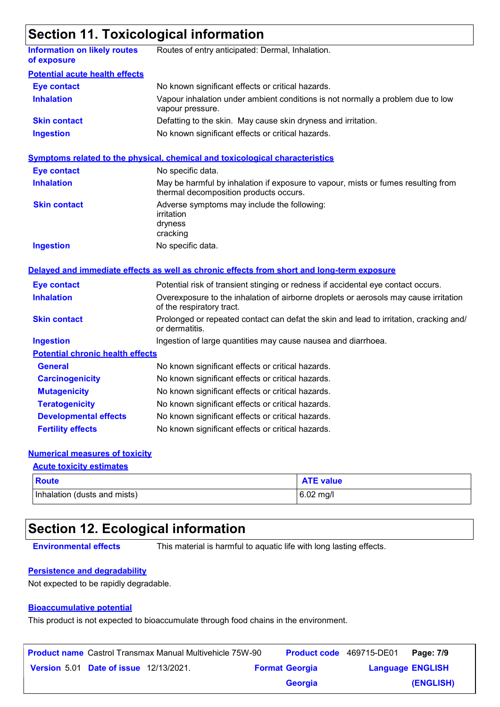### **Section 11. Toxicological information**

| <b>Information on likely routes</b><br>of exposure | Routes of entry anticipated: Dermal, Inhalation.                                                                            |
|----------------------------------------------------|-----------------------------------------------------------------------------------------------------------------------------|
| <b>Potential acute health effects</b>              |                                                                                                                             |
| <b>Eye contact</b>                                 | No known significant effects or critical hazards.                                                                           |
| <b>Inhalation</b>                                  | Vapour inhalation under ambient conditions is not normally a problem due to low<br>vapour pressure.                         |
| <b>Skin contact</b>                                | Defatting to the skin. May cause skin dryness and irritation.                                                               |
| <b>Ingestion</b>                                   | No known significant effects or critical hazards.                                                                           |
|                                                    | <b>Symptoms related to the physical, chemical and toxicological characteristics</b>                                         |
| <b>Eye contact</b>                                 | No specific data.                                                                                                           |
| <b>Inhalation</b>                                  | May be harmful by inhalation if exposure to vapour, mists or fumes resulting from<br>thermal decomposition products occurs. |
| <b>Skin contact</b>                                | Adverse symptoms may include the following:<br>irritation<br>dryness<br>cracking                                            |
| <b>Ingestion</b>                                   | No specific data.                                                                                                           |
|                                                    | Delayed and immediate effects as well as chronic effects from short and long-term exposure                                  |
| <b>Eye contact</b>                                 | Potential risk of transient stinging or redness if accidental eye contact occurs.                                           |
| <b>Inhalation</b>                                  | Overexposure to the inhalation of airborne droplets or aerosols may cause irritation<br>of the respiratory tract.           |
| <b>Skin contact</b>                                | Prolonged or repeated contact can defat the skin and lead to irritation, cracking and/<br>or dermatitis.                    |
| <b>Ingestion</b>                                   | Ingestion of large quantities may cause nausea and diarrhoea.                                                               |
| <b>Potential chronic health effects</b>            |                                                                                                                             |
| <b>General</b>                                     | No known significant effects or critical hazards.                                                                           |
| <b>Carcinogenicity</b>                             | No known significant effects or critical hazards.                                                                           |
| <b>Mutagenicity</b>                                | No known significant effects or critical hazards.                                                                           |
| <b>Teratogenicity</b>                              | No known significant effects or critical hazards.                                                                           |
| <b>Developmental effects</b>                       | No known significant effects or critical hazards.                                                                           |
| <b>Fertility effects</b>                           | No known significant effects or critical hazards.                                                                           |

#### **Numerical measures of toxicity**

| <b>Acute toxicity estimates</b> |                  |  |  |  |
|---------------------------------|------------------|--|--|--|
| <b>Route</b>                    | <b>ATE value</b> |  |  |  |
| Inhalation (dusts and mists)    | $6.02$ mg/l      |  |  |  |

### **Section 12. Ecological information**

**Environmental effects** This material is harmful to aquatic life with long lasting effects.

#### **Persistence and degradability**

Not expected to be rapidly degradable.

#### **Bioaccumulative potential**

This product is not expected to bioaccumulate through food chains in the environment.

|                                               | <b>Product name</b> Castrol Transmax Manual Multivehicle 75W-90 | <b>Product code</b> 469715-DE01 |                         | Page: 7/9 |
|-----------------------------------------------|-----------------------------------------------------------------|---------------------------------|-------------------------|-----------|
| <b>Version 5.01 Date of issue 12/13/2021.</b> |                                                                 | <b>Format Georgia</b>           | <b>Language ENGLISH</b> |           |
|                                               |                                                                 | <b>Georgia</b>                  |                         | (ENGLISH) |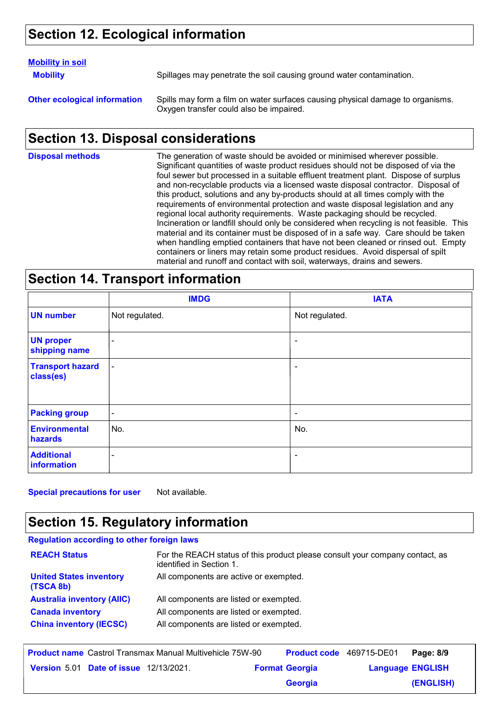### **Section 12. Ecological information**

#### **Mobility in soil**

**Mobility** Spillages may penetrate the soil causing ground water contamination.

**Other ecological information** Spills may form a film on water surfaces causing physical damage to organisms. Oxygen transfer could also be impaired.

#### **Section 13. Disposal considerations**

The generation of waste should be avoided or minimised wherever possible. Significant quantities of waste product residues should not be disposed of via the foul sewer but processed in a suitable effluent treatment plant. Dispose of surplus and non-recyclable products via a licensed waste disposal contractor. Disposal of this product, solutions and any by-products should at all times comply with the requirements of environmental protection and waste disposal legislation and any regional local authority requirements. Waste packaging should be recycled. Incineration or landfill should only be considered when recycling is not feasible. This material and its container must be disposed of in a safe way. Care should be taken when handling emptied containers that have not been cleaned or rinsed out. Empty containers or liners may retain some product residues. Avoid dispersal of spilt material and runoff and contact with soil, waterways, drains and sewers. **Disposal methods**

#### **Section 14. Transport information**

|                                      | <b>IMDG</b>    | <b>IATA</b>    |
|--------------------------------------|----------------|----------------|
| <b>UN number</b>                     | Not regulated. | Not regulated. |
| <b>UN proper</b><br>shipping name    | ۰              | $\blacksquare$ |
| <b>Transport hazard</b><br>class(es) | $\blacksquare$ | ۰              |
| <b>Packing group</b>                 | $\blacksquare$ | $\blacksquare$ |
| <b>Environmental</b><br>hazards      | No.            | No.            |
| <b>Additional</b><br>information     | ۰              | $\blacksquare$ |

**Special precautions for user** Not available.

#### **Section 15. Regulatory information**

| <b>Regulation according to other foreign laws</b> |                                                                                                          |
|---------------------------------------------------|----------------------------------------------------------------------------------------------------------|
| <b>REACH Status</b>                               | For the REACH status of this product please consult your company contact, as<br>identified in Section 1. |
| <b>United States inventory</b><br>(TSCA 8b)       | All components are active or exempted.                                                                   |
| <b>Australia inventory (AIIC)</b>                 | All components are listed or exempted.                                                                   |
| <b>Canada inventory</b>                           | All components are listed or exempted.                                                                   |
| <b>China inventory (IECSC)</b>                    | All components are listed or exempted.                                                                   |

| <b>Product name</b> Castrol Transmax Manual Multivehicle 75W-90 |                                               |  | <b>Product code</b> 469715-DE01 |                       | Page: 8/9               |           |
|-----------------------------------------------------------------|-----------------------------------------------|--|---------------------------------|-----------------------|-------------------------|-----------|
|                                                                 | <b>Version 5.01 Date of issue 12/13/2021.</b> |  |                                 | <b>Format Georgia</b> | <b>Language ENGLISH</b> |           |
|                                                                 |                                               |  |                                 | <b>Georgia</b>        |                         | (ENGLISH) |